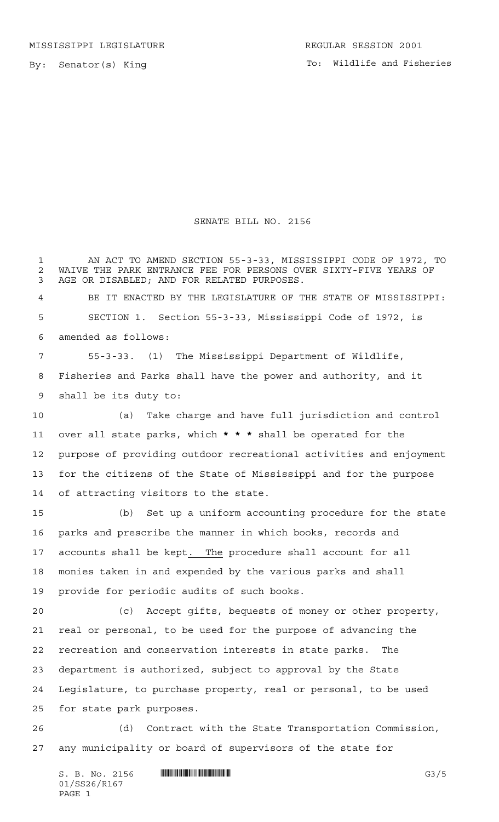By: Senator(s) King

## SENATE BILL NO. 2156

 AN ACT TO AMEND SECTION 55-3-33, MISSISSIPPI CODE OF 1972, TO 2 WAIVE THE PARK ENTRANCE FEE FOR PERSONS OVER SIXTY-FIVE YEARS OF<br>3 AGE OR DISABLED: AND FOR RELATED PURPOSES. AGE OR DISABLED; AND FOR RELATED PURPOSES. BE IT ENACTED BY THE LEGISLATURE OF THE STATE OF MISSISSIPPI: SECTION 1. Section 55-3-33, Mississippi Code of 1972, is amended as follows: 55-3-33. (1) The Mississippi Department of Wildlife, Fisheries and Parks shall have the power and authority, and it shall be its duty to: (a) Take charge and have full jurisdiction and control over all state parks, which **\*\*\*** shall be operated for the purpose of providing outdoor recreational activities and enjoyment for the citizens of the State of Mississippi and for the purpose of attracting visitors to the state. (b) Set up a uniform accounting procedure for the state parks and prescribe the manner in which books, records and accounts shall be kept. The procedure shall account for all monies taken in and expended by the various parks and shall provide for periodic audits of such books. (c) Accept gifts, bequests of money or other property, real or personal, to be used for the purpose of advancing the recreation and conservation interests in state parks. The department is authorized, subject to approval by the State Legislature, to purchase property, real or personal, to be used

for state park purposes.

 (d) Contract with the State Transportation Commission, any municipality or board of supervisors of the state for

S. B. No. 2156 \*SS26/R167\* G3/5 01/SS26/R167 PAGE 1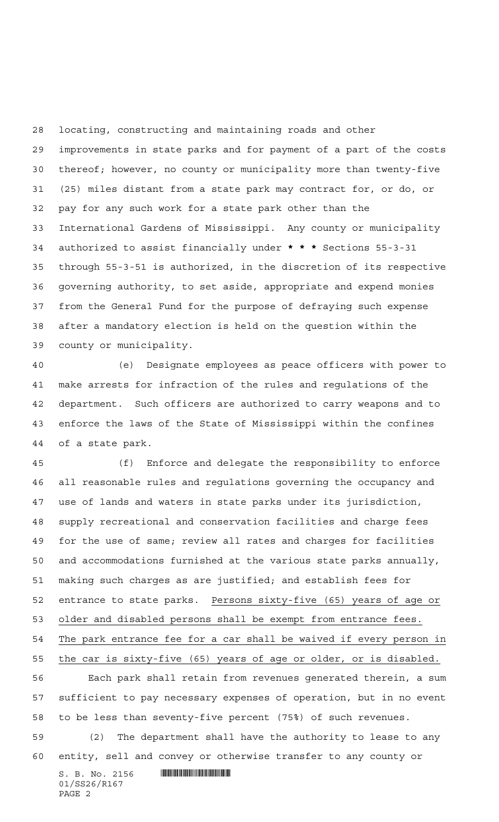locating, constructing and maintaining roads and other improvements in state parks and for payment of a part of the costs thereof; however, no county or municipality more than twenty-five (25) miles distant from a state park may contract for, or do, or pay for any such work for a state park other than the International Gardens of Mississippi. Any county or municipality authorized to assist financially under **\*\*\*** Sections 55-3-31 through 55-3-51 is authorized, in the discretion of its respective governing authority, to set aside, appropriate and expend monies from the General Fund for the purpose of defraying such expense after a mandatory election is held on the question within the county or municipality.

 (e) Designate employees as peace officers with power to make arrests for infraction of the rules and regulations of the department. Such officers are authorized to carry weapons and to enforce the laws of the State of Mississippi within the confines of a state park.

 (f) Enforce and delegate the responsibility to enforce all reasonable rules and regulations governing the occupancy and use of lands and waters in state parks under its jurisdiction, supply recreational and conservation facilities and charge fees for the use of same; review all rates and charges for facilities and accommodations furnished at the various state parks annually, making such charges as are justified; and establish fees for entrance to state parks. Persons sixty-five (65) years of age or older and disabled persons shall be exempt from entrance fees. The park entrance fee for a car shall be waived if every person in the car is sixty-five (65) years of age or older, or is disabled. Each park shall retain from revenues generated therein, a sum sufficient to pay necessary expenses of operation, but in no event

 (2) The department shall have the authority to lease to any entity, sell and convey or otherwise transfer to any county or

to be less than seventy-five percent (75%) of such revenues.

 $S. B. No. 2156$  . And the set of the set of  $S. B. N_{O}$  . 01/SS26/R167 PAGE 2